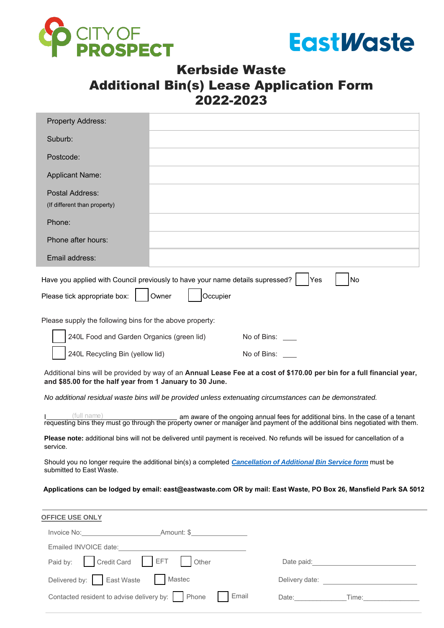



## Kerbside Waste Additional Bin(s) Lease Application Form 2022-2023

| <b>Property Address:</b>                                                                                                                                                                                                       |                                                                                                                                                                                                                                |
|--------------------------------------------------------------------------------------------------------------------------------------------------------------------------------------------------------------------------------|--------------------------------------------------------------------------------------------------------------------------------------------------------------------------------------------------------------------------------|
| Suburb:                                                                                                                                                                                                                        |                                                                                                                                                                                                                                |
| Postcode:                                                                                                                                                                                                                      |                                                                                                                                                                                                                                |
| <b>Applicant Name:</b>                                                                                                                                                                                                         |                                                                                                                                                                                                                                |
| Postal Address:                                                                                                                                                                                                                |                                                                                                                                                                                                                                |
| (If different than property)                                                                                                                                                                                                   |                                                                                                                                                                                                                                |
| Phone:                                                                                                                                                                                                                         |                                                                                                                                                                                                                                |
| Phone after hours:                                                                                                                                                                                                             |                                                                                                                                                                                                                                |
| Email address:                                                                                                                                                                                                                 |                                                                                                                                                                                                                                |
| Have you applied with Council previously to have your name details supressed?                                                                                                                                                  | No<br>Yes                                                                                                                                                                                                                      |
| Please tick appropriate box:<br>Owner                                                                                                                                                                                          | Occupier                                                                                                                                                                                                                       |
| Please supply the following bins for the above property:                                                                                                                                                                       |                                                                                                                                                                                                                                |
| 240L Food and Garden Organics (green lid)                                                                                                                                                                                      | No of Bins:                                                                                                                                                                                                                    |
| 240L Recycling Bin (yellow lid)                                                                                                                                                                                                | No of Bins:                                                                                                                                                                                                                    |
| and \$85.00 for the half year from 1 January to 30 June.                                                                                                                                                                       | Additional bins will be provided by way of an Annual Lease Fee at a cost of \$170.00 per bin for a full financial year,                                                                                                        |
|                                                                                                                                                                                                                                | No additional residual waste bins will be provided unless extenuating circumstances can be demonstrated.                                                                                                                       |
| (full name)                                                                                                                                                                                                                    | I (full name) example an aware of the ongoing annual fees for additional bins. In the case of a tenant requesting bins they must go through the property owner or manager and payment of the additional bins negotiated with t |
| service.                                                                                                                                                                                                                       | Please note: additional bins will not be delivered until payment is received. No refunds will be issued for cancellation of a                                                                                                  |
| submitted to East Waste.                                                                                                                                                                                                       | Should you no longer require the additional bin(s) a completed Cancellation of Additional Bin Service form must be                                                                                                             |
|                                                                                                                                                                                                                                | Applications can be lodged by email: east@eastwaste.com OR by mail: East Waste, PO Box 26, Mansfield Park SA 5012                                                                                                              |
| <b>OFFICE USE ONLY</b>                                                                                                                                                                                                         |                                                                                                                                                                                                                                |
|                                                                                                                                                                                                                                |                                                                                                                                                                                                                                |
| Emailed INVOICE date: Note: Note: Note: Note: Note: Note: Note: Note: Note: Note: Note: Note: Note: Note: Note: Note: Note: Note: Note: Note: Note: Note: Note: Note: Note: Note: Note: Note: Note: Note: Note: Note: Note: No |                                                                                                                                                                                                                                |
| <b>EFT</b><br>Credit Card<br>Other<br>Paid by:                                                                                                                                                                                 | Date paid: Date by Date by Date by Date by Date by Date by Date by Date by Date by Date by Date by D                                                                                                                           |

Delivered by: East Waste Contacted resident to advise delivery by: Phone  $\Box$  Email

| Date: | $I$ ime: |
|-------|----------|
|-------|----------|

Delivery date: